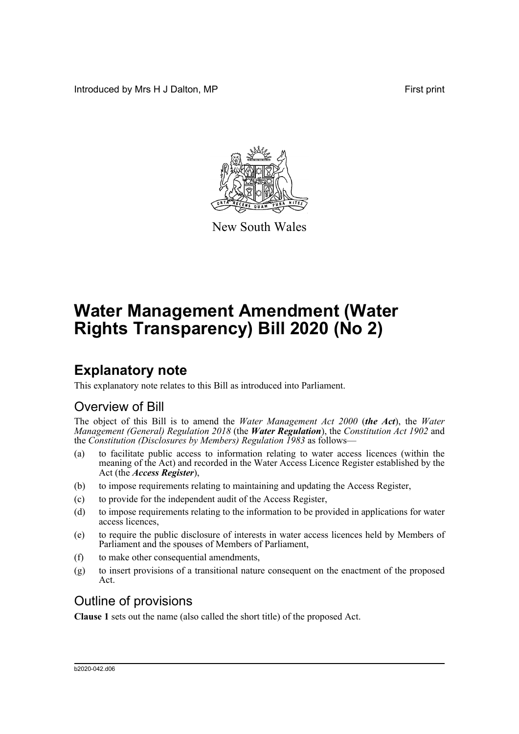Introduced by Mrs H J Dalton, MP **First** print



New South Wales

# **Water Management Amendment (Water Rights Transparency) Bill 2020 (No 2)**

# **Explanatory note**

This explanatory note relates to this Bill as introduced into Parliament.

# Overview of Bill

The object of this Bill is to amend the *Water Management Act 2000* (*the Act*), the *Water Management (General) Regulation 2018* (the *Water Regulation*), the *Constitution Act 1902* and the *Constitution (Disclosures by Members) Regulation 1983* as follows—

- (a) to facilitate public access to information relating to water access licences (within the meaning of the Act) and recorded in the Water Access Licence Register established by the Act (the *Access Register*),
- (b) to impose requirements relating to maintaining and updating the Access Register,
- (c) to provide for the independent audit of the Access Register,
- (d) to impose requirements relating to the information to be provided in applications for water access licences,
- (e) to require the public disclosure of interests in water access licences held by Members of Parliament and the spouses of Members of Parliament,
- (f) to make other consequential amendments,
- (g) to insert provisions of a transitional nature consequent on the enactment of the proposed Act.

# Outline of provisions

**Clause 1** sets out the name (also called the short title) of the proposed Act.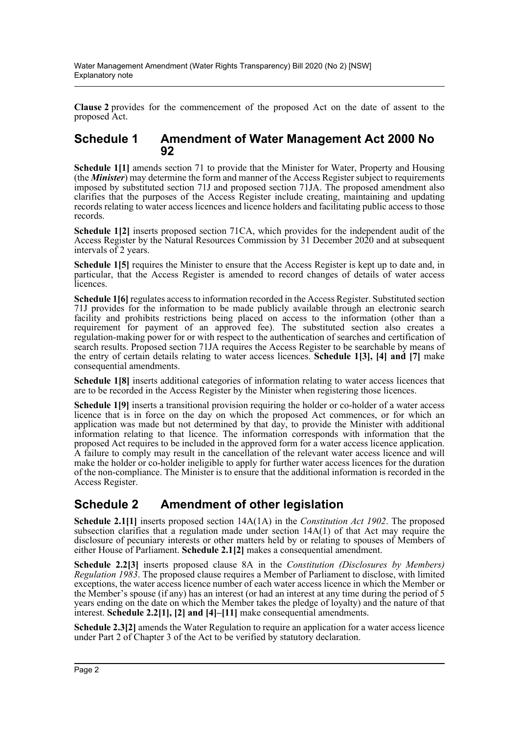**Clause 2** provides for the commencement of the proposed Act on the date of assent to the proposed Act.

### **Schedule 1 Amendment of Water Management Act 2000 No 92**

**Schedule 1[1]** amends section 71 to provide that the Minister for Water, Property and Housing (the *Minister*) may determine the form and manner of the Access Register subject to requirements imposed by substituted section 71J and proposed section 71JA. The proposed amendment also clarifies that the purposes of the Access Register include creating, maintaining and updating records relating to water access licences and licence holders and facilitating public access to those records.

**Schedule 1[2]** inserts proposed section 71CA, which provides for the independent audit of the Access Register by the Natural Resources Commission by 31 December 2020 and at subsequent intervals of 2 years.

**Schedule 1[5]** requires the Minister to ensure that the Access Register is kept up to date and, in particular, that the Access Register is amended to record changes of details of water access licences.

**Schedule 1[6]** regulates access to information recorded in the Access Register. Substituted section 71J provides for the information to be made publicly available through an electronic search facility and prohibits restrictions being placed on access to the information (other than a requirement for payment of an approved fee). The substituted section also creates a regulation-making power for or with respect to the authentication of searches and certification of search results. Proposed section 71JA requires the Access Register to be searchable by means of the entry of certain details relating to water access licences. **Schedule 1[3], [4] and [7]** make consequential amendments.

**Schedule 1[8]** inserts additional categories of information relating to water access licences that are to be recorded in the Access Register by the Minister when registering those licences.

**Schedule 1[9]** inserts a transitional provision requiring the holder or co-holder of a water access licence that is in force on the day on which the proposed Act commences, or for which an application was made but not determined by that day, to provide the Minister with additional information relating to that licence. The information corresponds with information that the proposed Act requires to be included in the approved form for a water access licence application. A failure to comply may result in the cancellation of the relevant water access licence and will make the holder or co-holder ineligible to apply for further water access licences for the duration of the non-compliance. The Minister is to ensure that the additional information is recorded in the Access Register.

# **Schedule 2 Amendment of other legislation**

**Schedule 2.1[1]** inserts proposed section 14A(1A) in the *Constitution Act 1902*. The proposed subsection clarifies that a regulation made under section 14A(1) of that Act may require the disclosure of pecuniary interests or other matters held by or relating to spouses of Members of either House of Parliament. **Schedule 2.1[2]** makes a consequential amendment.

**Schedule 2.2[3]** inserts proposed clause 8A in the *Constitution (Disclosures by Members) Regulation 1983*. The proposed clause requires a Member of Parliament to disclose, with limited exceptions, the water access licence number of each water access licence in which the Member or the Member's spouse (if any) has an interest (or had an interest at any time during the period of 5 years ending on the date on which the Member takes the pledge of loyalty) and the nature of that interest. **Schedule 2.2[1], [2] and [4]–[11]** make consequential amendments.

**Schedule 2.3[2]** amends the Water Regulation to require an application for a water access licence under Part 2 of Chapter 3 of the Act to be verified by statutory declaration.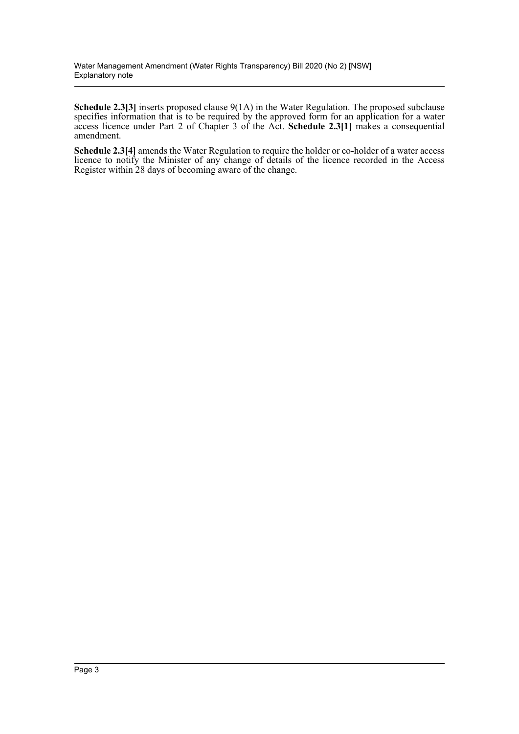**Schedule 2.3[3]** inserts proposed clause 9(1A) in the Water Regulation. The proposed subclause specifies information that is to be required by the approved form for an application for a water access licence under Part 2 of Chapter 3 of the Act. **Schedule 2.3[1]** makes a consequential amendment.

**Schedule 2.3[4]** amends the Water Regulation to require the holder or co-holder of a water access licence to notify the Minister of any change of details of the licence recorded in the Access Register within 28 days of becoming aware of the change.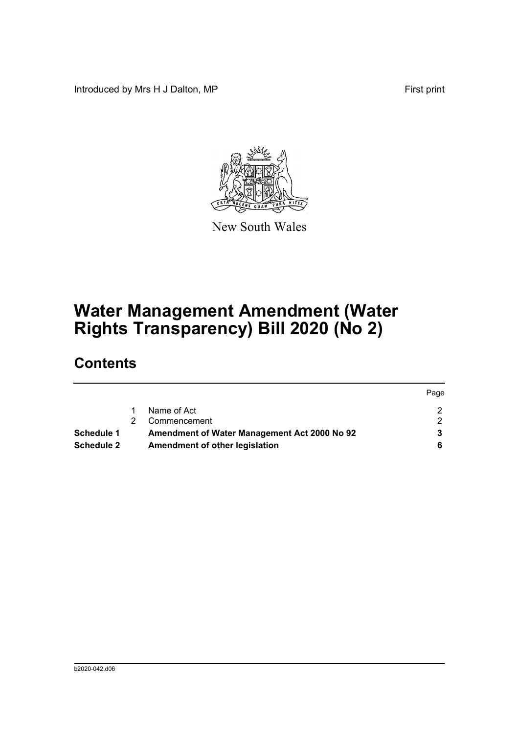Introduced by Mrs H J Dalton, MP **First** print

Page



New South Wales

# **Water Management Amendment (Water Rights Transparency) Bill 2020 (No 2)**

# **Contents**

|                   |    |                                              | Page |
|-------------------|----|----------------------------------------------|------|
|                   |    | Name of Act                                  |      |
|                   | 2. | Commencement                                 |      |
| <b>Schedule 1</b> |    | Amendment of Water Management Act 2000 No 92 |      |
| <b>Schedule 2</b> |    | Amendment of other legislation               |      |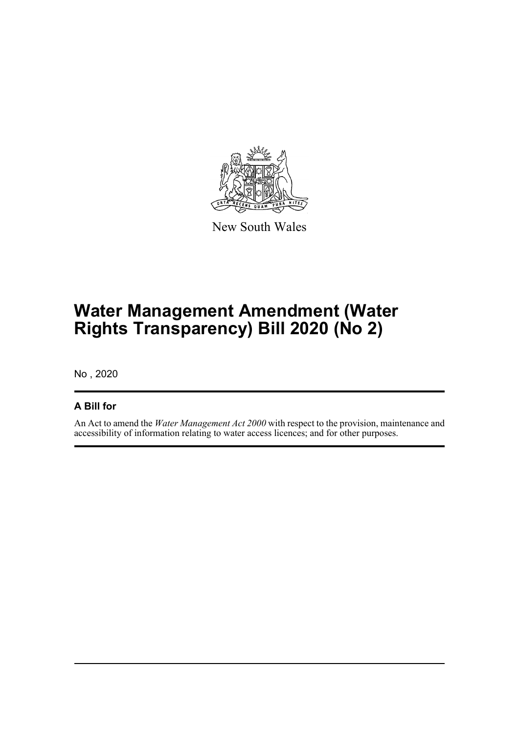

New South Wales

# **Water Management Amendment (Water Rights Transparency) Bill 2020 (No 2)**

No , 2020

## **A Bill for**

An Act to amend the *Water Management Act 2000* with respect to the provision, maintenance and accessibility of information relating to water access licences; and for other purposes.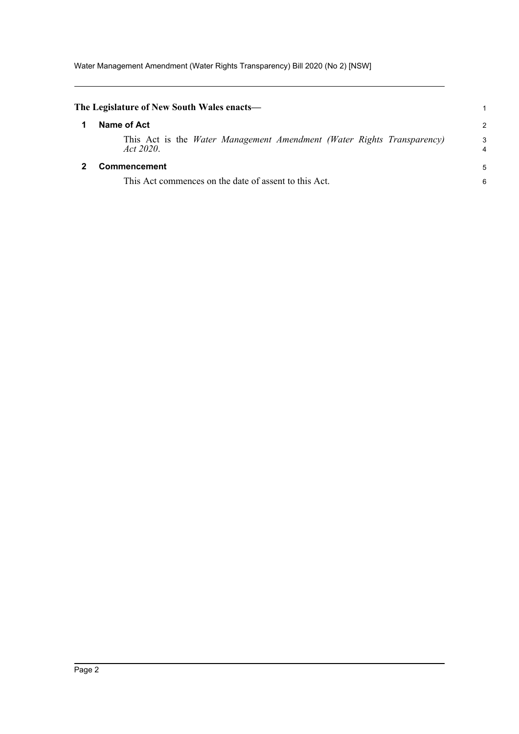<span id="page-5-1"></span><span id="page-5-0"></span>

| The Legislature of New South Wales enacts—                                          | 1                   |
|-------------------------------------------------------------------------------------|---------------------|
| Name of Act                                                                         | $\mathcal{P}$       |
| This Act is the Water Management Amendment (Water Rights Transparency)<br>Act 2020. | 3<br>$\overline{4}$ |
| <b>Commencement</b>                                                                 | 5                   |
| This Act commences on the date of assent to this Act.                               | 6                   |
|                                                                                     |                     |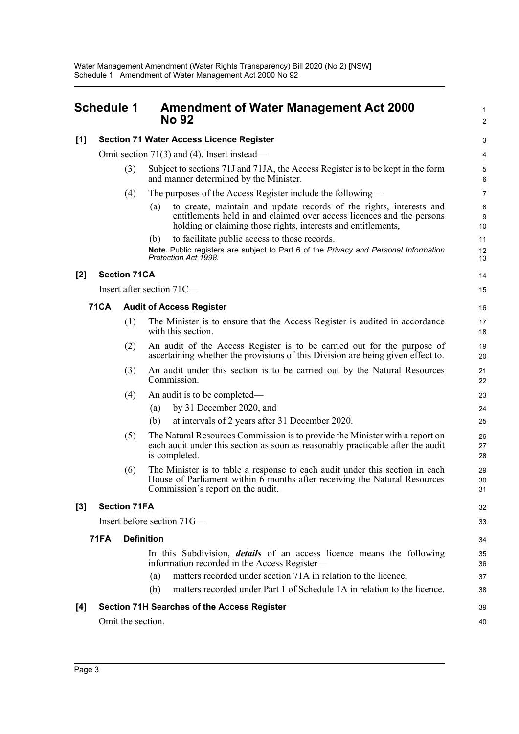## <span id="page-6-0"></span>**Schedule 1 Amendment of Water Management Act 2000 No 92**

1

|     |             |                     | <b>No 92</b>                                                                                                                                                                                                         | $\overline{c}$ |
|-----|-------------|---------------------|----------------------------------------------------------------------------------------------------------------------------------------------------------------------------------------------------------------------|----------------|
| [1] |             |                     | <b>Section 71 Water Access Licence Register</b>                                                                                                                                                                      | 3              |
|     |             |                     | Omit section $71(3)$ and (4). Insert instead—                                                                                                                                                                        | 4              |
|     |             | (3)                 | Subject to sections 71J and 71JA, the Access Register is to be kept in the form<br>and manner determined by the Minister.                                                                                            | 5<br>6         |
|     |             | (4)                 | The purposes of the Access Register include the following—                                                                                                                                                           | $\overline{7}$ |
|     |             |                     | to create, maintain and update records of the rights, interests and<br>(a)<br>entitlements held in and claimed over access licences and the persons<br>holding or claiming those rights, interests and entitlements, | 8<br>9<br>10   |
|     |             |                     | to facilitate public access to those records.<br>(b)                                                                                                                                                                 | 11             |
|     |             |                     | Note. Public registers are subject to Part 6 of the Privacy and Personal Information<br>Protection Act 1998.                                                                                                         | 12<br>13       |
| [2] |             | <b>Section 71CA</b> |                                                                                                                                                                                                                      | 14             |
|     |             |                     | Insert after section 71C-                                                                                                                                                                                            | 15             |
|     | <b>71CA</b> |                     | <b>Audit of Access Register</b>                                                                                                                                                                                      | 16             |
|     |             | (1)                 | The Minister is to ensure that the Access Register is audited in accordance<br>with this section.                                                                                                                    | 17<br>18       |
|     |             | (2)                 | An audit of the Access Register is to be carried out for the purpose of<br>ascertaining whether the provisions of this Division are being given effect to.                                                           | 19<br>20       |
|     |             | (3)                 | An audit under this section is to be carried out by the Natural Resources<br>Commission.                                                                                                                             | 21<br>22       |
|     |             | (4)                 | An audit is to be completed—                                                                                                                                                                                         | 23             |
|     |             |                     | by 31 December 2020, and<br>(a)                                                                                                                                                                                      | 24             |
|     |             |                     | at intervals of 2 years after 31 December 2020.<br>(b)                                                                                                                                                               | 25             |
|     |             | (5)                 | The Natural Resources Commission is to provide the Minister with a report on<br>each audit under this section as soon as reasonably practicable after the audit<br>is completed.                                     | 26<br>27<br>28 |
|     |             | (6)                 | The Minister is to table a response to each audit under this section in each<br>House of Parliament within 6 months after receiving the Natural Resources<br>Commission's report on the audit.                       | 29<br>30<br>31 |
| [3] |             | <b>Section 71FA</b> |                                                                                                                                                                                                                      | 32             |
|     |             |                     | Insert before section 71G—                                                                                                                                                                                           | 33             |
|     | <b>71FA</b> |                     | <b>Definition</b>                                                                                                                                                                                                    | 34             |
|     |             |                     | In this Subdivision, <i>details</i> of an access licence means the following<br>information recorded in the Access Register-                                                                                         | 35<br>36       |
|     |             |                     | matters recorded under section 71A in relation to the licence,<br>(a)                                                                                                                                                | 37             |
|     |             |                     | matters recorded under Part 1 of Schedule 1A in relation to the licence.<br>(b)                                                                                                                                      | 38             |
| [4] |             |                     | Section 71H Searches of the Access Register                                                                                                                                                                          | 39             |
|     |             | Omit the section.   |                                                                                                                                                                                                                      | 40             |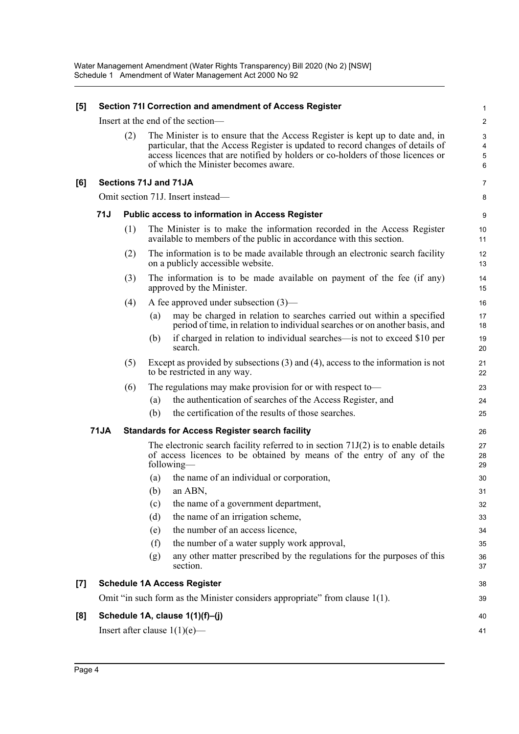| [5]              |             |     |     | Section 71I Correction and amendment of Access Register                                                                                                                                                                                                                                     | $\mathbf 1$                                       |
|------------------|-------------|-----|-----|---------------------------------------------------------------------------------------------------------------------------------------------------------------------------------------------------------------------------------------------------------------------------------------------|---------------------------------------------------|
|                  |             |     |     | Insert at the end of the section-                                                                                                                                                                                                                                                           | $\boldsymbol{2}$                                  |
|                  |             | (2) |     | The Minister is to ensure that the Access Register is kept up to date and, in<br>particular, that the Access Register is updated to record changes of details of<br>access licences that are notified by holders or co-holders of those licences or<br>of which the Minister becomes aware. | $\mathbf{3}$<br>$\overline{\mathbf{4}}$<br>5<br>6 |
| [6]              |             |     |     | Sections 71J and 71JA                                                                                                                                                                                                                                                                       | $\overline{7}$                                    |
|                  |             |     |     | Omit section 71J. Insert instead—                                                                                                                                                                                                                                                           | 8                                                 |
|                  | 71J         |     |     | <b>Public access to information in Access Register</b>                                                                                                                                                                                                                                      | 9                                                 |
|                  |             | (1) |     | The Minister is to make the information recorded in the Access Register<br>available to members of the public in accordance with this section.                                                                                                                                              | 10<br>11                                          |
|                  |             | (2) |     | The information is to be made available through an electronic search facility<br>on a publicly accessible website.                                                                                                                                                                          | 12<br>13                                          |
|                  |             | (3) |     | The information is to be made available on payment of the fee (if any)<br>approved by the Minister.                                                                                                                                                                                         | 14<br>15                                          |
|                  |             | (4) |     | A fee approved under subsection $(3)$ —                                                                                                                                                                                                                                                     | 16                                                |
|                  |             |     | (a) | may be charged in relation to searches carried out within a specified<br>period of time, in relation to individual searches or on another basis, and                                                                                                                                        | 17<br>18                                          |
|                  |             |     | (b) | if charged in relation to individual searches—is not to exceed \$10 per<br>search.                                                                                                                                                                                                          | 19<br>20                                          |
|                  |             | (5) |     | Except as provided by subsections $(3)$ and $(4)$ , access to the information is not<br>to be restricted in any way.                                                                                                                                                                        | 21<br>22                                          |
|                  |             | (6) |     | The regulations may make provision for or with respect to-                                                                                                                                                                                                                                  | 23                                                |
|                  |             |     | (a) | the authentication of searches of the Access Register, and                                                                                                                                                                                                                                  | 24                                                |
|                  |             |     | (b) | the certification of the results of those searches.                                                                                                                                                                                                                                         | 25                                                |
|                  | <b>71JA</b> |     |     | <b>Standards for Access Register search facility</b>                                                                                                                                                                                                                                        | 26                                                |
|                  |             |     |     | The electronic search facility referred to in section $71J(2)$ is to enable details<br>of access licences to be obtained by means of the entry of any of the<br>following—                                                                                                                  | 27<br>28<br>29                                    |
|                  |             |     | (a) | the name of an individual or corporation,                                                                                                                                                                                                                                                   | 30                                                |
|                  |             |     |     | $(b)$ an ABN,                                                                                                                                                                                                                                                                               | 31                                                |
|                  |             |     | (c) | the name of a government department,                                                                                                                                                                                                                                                        | 32                                                |
|                  |             |     | (d) | the name of an irrigation scheme,                                                                                                                                                                                                                                                           | 33                                                |
|                  |             |     | (e) | the number of an access licence,                                                                                                                                                                                                                                                            | 34                                                |
|                  |             |     | (f) | the number of a water supply work approval,                                                                                                                                                                                                                                                 | 35                                                |
|                  |             |     | (g) | any other matter prescribed by the regulations for the purposes of this<br>section.                                                                                                                                                                                                         | 36<br>37                                          |
| $\left[7\right]$ |             |     |     | <b>Schedule 1A Access Register</b>                                                                                                                                                                                                                                                          | 38                                                |
|                  |             |     |     | Omit "in such form as the Minister considers appropriate" from clause 1(1).                                                                                                                                                                                                                 | 39                                                |
| [8]              |             |     |     | Schedule 1A, clause 1(1)(f)-(j)                                                                                                                                                                                                                                                             | 40                                                |
|                  |             |     |     | Insert after clause $1(1)(e)$ —                                                                                                                                                                                                                                                             | 41                                                |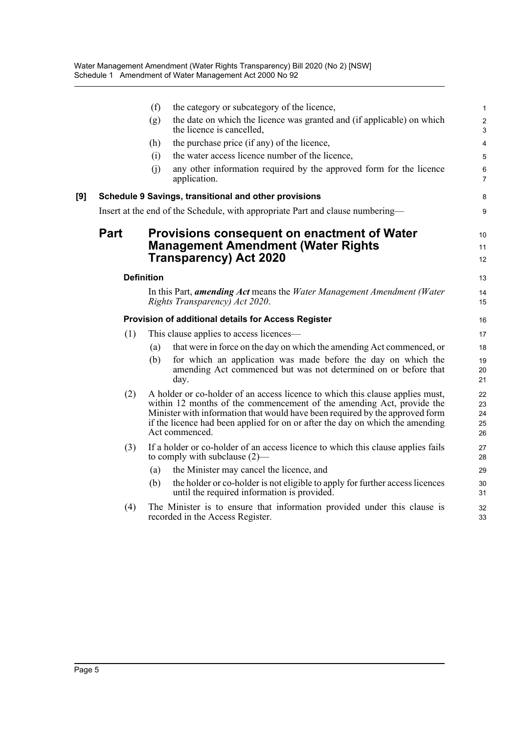|     |             | (f)               | the category or subcategory of the licence,                                                                                                                                                                                                                                                                                               | $\mathbf{1}$                   |
|-----|-------------|-------------------|-------------------------------------------------------------------------------------------------------------------------------------------------------------------------------------------------------------------------------------------------------------------------------------------------------------------------------------------|--------------------------------|
|     |             | (g)               | the date on which the licence was granted and (if applicable) on which<br>the licence is cancelled,                                                                                                                                                                                                                                       | $\overline{2}$<br>$\mathbf{3}$ |
|     |             | (h)               | the purchase price (if any) of the licence,                                                                                                                                                                                                                                                                                               | $\overline{\mathbf{4}}$        |
|     |             | (i)               | the water access licence number of the licence,                                                                                                                                                                                                                                                                                           | 5                              |
|     |             | (i)               | any other information required by the approved form for the licence<br>application.                                                                                                                                                                                                                                                       | 6<br>$\overline{7}$            |
| [9] |             |                   | Schedule 9 Savings, transitional and other provisions                                                                                                                                                                                                                                                                                     | 8                              |
|     |             |                   | Insert at the end of the Schedule, with appropriate Part and clause numbering—                                                                                                                                                                                                                                                            | 9                              |
|     | <b>Part</b> |                   | <b>Provisions consequent on enactment of Water</b><br><b>Management Amendment (Water Rights</b><br><b>Transparency) Act 2020</b>                                                                                                                                                                                                          | 10<br>11<br>12                 |
|     |             | <b>Definition</b> |                                                                                                                                                                                                                                                                                                                                           | 13                             |
|     |             |                   | In this Part, <i>amending Act</i> means the <i>Water Management Amendment (Water</i><br>Rights Transparency) Act 2020.                                                                                                                                                                                                                    | 14<br>15                       |
|     |             |                   | Provision of additional details for Access Register                                                                                                                                                                                                                                                                                       | 16                             |
|     | (1)         |                   | This clause applies to access licences—                                                                                                                                                                                                                                                                                                   | 17                             |
|     |             | (a)               | that were in force on the day on which the amending Act commenced, or                                                                                                                                                                                                                                                                     | 18                             |
|     |             | (b)               | for which an application was made before the day on which the<br>amending Act commenced but was not determined on or before that<br>day.                                                                                                                                                                                                  | 19<br>20<br>21                 |
|     | (2)         |                   | A holder or co-holder of an access licence to which this clause applies must,<br>within 12 months of the commencement of the amending Act, provide the<br>Minister with information that would have been required by the approved form<br>if the licence had been applied for on or after the day on which the amending<br>Act commenced. | 22<br>23<br>24<br>25<br>26     |
|     | (3)         |                   | If a holder or co-holder of an access licence to which this clause applies fails<br>to comply with subclause $(2)$ —                                                                                                                                                                                                                      | 27<br>28                       |
|     |             | (a)               | the Minister may cancel the licence, and                                                                                                                                                                                                                                                                                                  | 29                             |
|     |             | (b)               | the holder or co-holder is not eligible to apply for further access licences<br>until the required information is provided.                                                                                                                                                                                                               | 30<br>31                       |
|     | (4)         |                   | The Minister is to ensure that information provided under this clause is<br>recorded in the Access Register.                                                                                                                                                                                                                              | 32<br>33                       |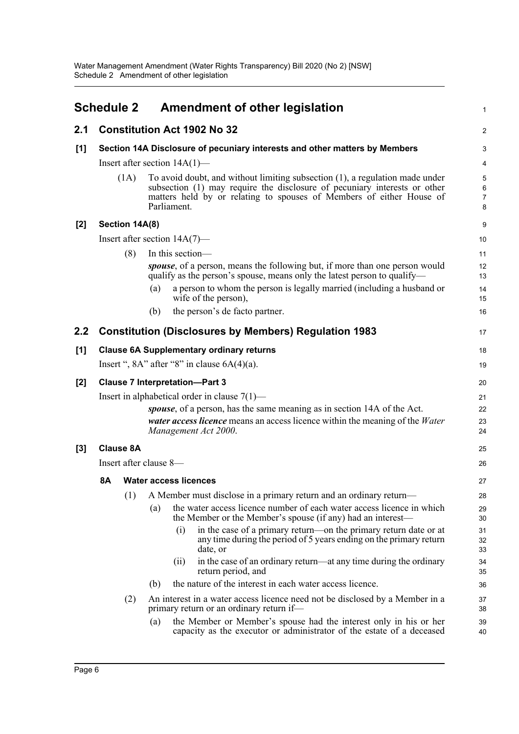<span id="page-9-0"></span>

|                  | <b>Schedule 2</b> |                  | Amendment of other legislation                                                                                                                                                                                                                   | 1                             |
|------------------|-------------------|------------------|--------------------------------------------------------------------------------------------------------------------------------------------------------------------------------------------------------------------------------------------------|-------------------------------|
| 2.1              |                   |                  | <b>Constitution Act 1902 No 32</b>                                                                                                                                                                                                               | $\boldsymbol{2}$              |
| $[1]$            |                   |                  | Section 14A Disclosure of pecuniary interests and other matters by Members                                                                                                                                                                       | 3                             |
|                  |                   |                  | Insert after section $14A(1)$ —                                                                                                                                                                                                                  | 4                             |
|                  |                   | (1A)             | To avoid doubt, and without limiting subsection (1), a regulation made under<br>subsection (1) may require the disclosure of pecuniary interests or other<br>matters held by or relating to spouses of Members of either House of<br>Parliament. | 5<br>6<br>$\overline{7}$<br>8 |
| $[2]$            |                   | Section 14A(8)   |                                                                                                                                                                                                                                                  | 9                             |
|                  |                   |                  | Insert after section $14A(7)$ —                                                                                                                                                                                                                  | 10                            |
|                  |                   | (8)              | In this section-                                                                                                                                                                                                                                 | 11                            |
|                  |                   |                  | <i>spouse</i> , of a person, means the following but, if more than one person would<br>qualify as the person's spouse, means only the latest person to qualify—                                                                                  | 12<br>13                      |
|                  |                   |                  | a person to whom the person is legally married (including a husband or<br>(a)<br>wife of the person),                                                                                                                                            | 14<br>15                      |
|                  |                   |                  | the person's de facto partner.<br>(b)                                                                                                                                                                                                            | 16                            |
| $2.2\phantom{0}$ |                   |                  | <b>Constitution (Disclosures by Members) Regulation 1983</b>                                                                                                                                                                                     | 17                            |
| [1]              |                   |                  | <b>Clause 6A Supplementary ordinary returns</b>                                                                                                                                                                                                  | 18                            |
|                  |                   |                  | Insert ", $8A$ " after " $8$ " in clause $6A(4)(a)$ .                                                                                                                                                                                            | 19                            |
| $[2]$            |                   |                  | <b>Clause 7 Interpretation-Part 3</b>                                                                                                                                                                                                            | 20                            |
|                  |                   |                  | Insert in alphabetical order in clause $7(1)$ —                                                                                                                                                                                                  | 21                            |
|                  |                   |                  | spouse, of a person, has the same meaning as in section 14A of the Act.<br><i>water access licence</i> means an access licence within the meaning of the <i>Water</i><br>Management Act 2000.                                                    | 22<br>23<br>24                |
| $[3]$            |                   | <b>Clause 8A</b> |                                                                                                                                                                                                                                                  | 25                            |
|                  |                   |                  | Insert after clause 8-                                                                                                                                                                                                                           | 26                            |
|                  | 8A                |                  | <b>Water access licences</b>                                                                                                                                                                                                                     | 27                            |
|                  |                   |                  | (1) A Member must disclose in a primary return and an ordinary return-                                                                                                                                                                           | 28                            |
|                  |                   |                  | the water access licence number of each water access licence in which<br>(a)<br>the Member or the Member's spouse (if any) had an interest—                                                                                                      | 29<br>30                      |
|                  |                   |                  | in the case of a primary return—on the primary return date or at<br>(i)<br>any time during the period of 5 years ending on the primary return<br>date, or                                                                                        | 31<br>32<br>33                |
|                  |                   |                  | in the case of an ordinary return—at any time during the ordinary<br>(ii)<br>return period, and                                                                                                                                                  | 34<br>35                      |
|                  |                   |                  | the nature of the interest in each water access licence.<br>(b)                                                                                                                                                                                  | 36                            |
|                  |                   | (2)              | An interest in a water access licence need not be disclosed by a Member in a<br>primary return or an ordinary return if-                                                                                                                         | 37<br>38                      |
|                  |                   |                  | the Member or Member's spouse had the interest only in his or her<br>(a)<br>capacity as the executor or administrator of the estate of a deceased                                                                                                | 39<br>40                      |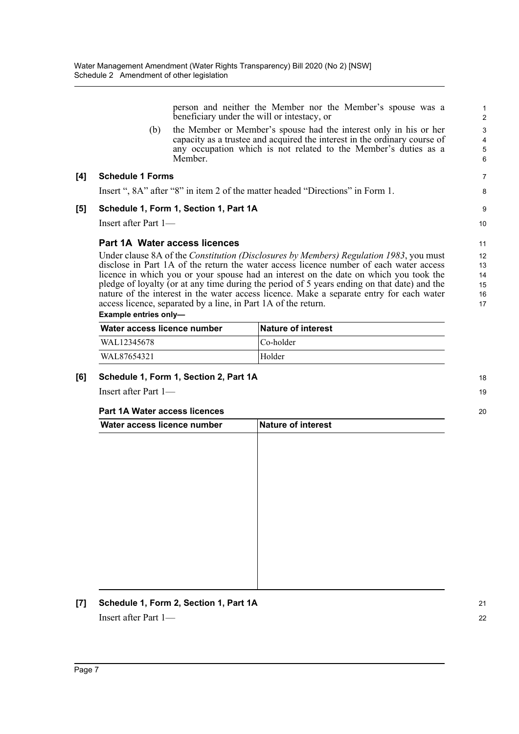person and neither the Member nor the Member's spouse was a beneficiary under the will or intestacy, or

(b) the Member or Member's spouse had the interest only in his or her capacity as a trustee and acquired the interest in the ordinary course of any occupation which is not related to the Member's duties as a Member.

#### **[4] Schedule 1 Forms**

Insert ", 8A" after "8" in item 2 of the matter headed "Directions" in Form 1.

#### **[5] Schedule 1, Form 1, Section 1, Part 1A**

Insert after Part 1—

#### **Part 1A Water access licences**

Under clause 8A of the *Constitution (Disclosures by Members) Regulation 1983*, you must disclose in Part 1A of the return the water access licence number of each water access licence in which you or your spouse had an interest on the date on which you took the pledge of loyalty (or at any time during the period of 5 years ending on that date) and the nature of the interest in the water access licence. Make a separate entry for each water access licence, separated by a line, in Part 1A of the return. 12 13  $14$ 15 16 17

#### **Example entries only—**

| Water access licence number | <b>Nature of interest</b> |
|-----------------------------|---------------------------|
| WAL12345678                 | $ Co-holder $             |
| WAL87654321                 | Holder                    |

#### **[6] Schedule 1, Form 1, Section 2, Part 1A**

Insert after Part 1—

#### **Part 1A Water access licences**

| Water access licence number | Nature of interest |  |
|-----------------------------|--------------------|--|
|                             |                    |  |
|                             |                    |  |
|                             |                    |  |
|                             |                    |  |
|                             |                    |  |
|                             |                    |  |
|                             |                    |  |
|                             |                    |  |
|                             |                    |  |
|                             |                    |  |
|                             |                    |  |
|                             |                    |  |

**[7] Schedule 1, Form 2, Section 1, Part 1A** Insert after Part 1—

11

18 19

20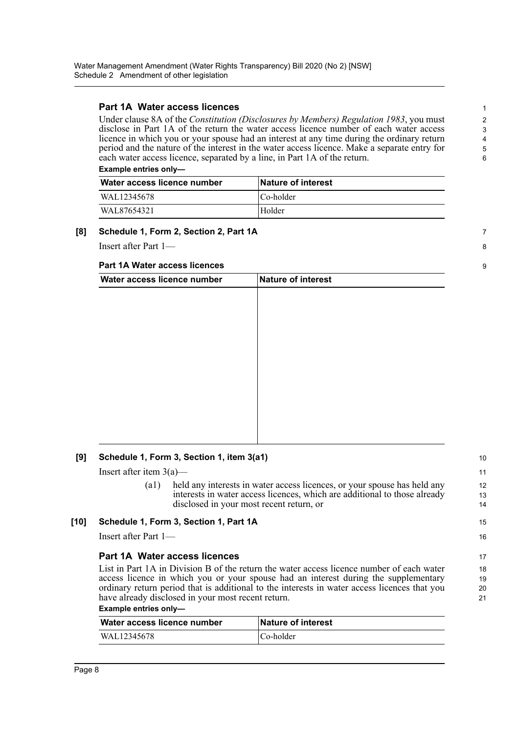### **Part 1A Water access licences**

Under clause 8A of the *Constitution (Disclosures by Members) Regulation 1983*, you must disclose in Part 1A of the return the water access licence number of each water access licence in which you or your spouse had an interest at any time during the ordinary return period and the nature of the interest in the water access licence. Make a separate entry for each water access licence, separated by a line, in Part 1A of the return. **Example entries only—** 

7 8

9

15 16

Water access licence number | Nature of interest WAL12345678 Co-holder WAL87654321 Holder

#### **[8] Schedule 1, Form 2, Section 2, Part 1A**

Insert after Part 1—

#### **Part 1A Water access licences**

| Water access licence number | Nature of interest |  |
|-----------------------------|--------------------|--|
|                             |                    |  |
|                             |                    |  |
|                             |                    |  |
|                             |                    |  |
|                             |                    |  |
|                             |                    |  |
|                             |                    |  |
|                             |                    |  |
|                             |                    |  |
|                             |                    |  |
|                             |                    |  |
|                             |                    |  |

#### **[9] Schedule 1, Form 3, Section 1, item 3(a1)**

Insert after item  $3(a)$ —

(a1) held any interests in water access licences, or your spouse has held any interests in water access licences, which are additional to those already disclosed in your most recent return, or

#### **[10] Schedule 1, Form 3, Section 1, Part 1A**

Insert after Part 1—

### **Part 1A Water access licences**

List in Part 1A in Division B of the return the water access licence number of each water access licence in which you or your spouse had an interest during the supplementary ordinary return period that is additional to the interests in water access licences that you have already disclosed in your most recent return.

#### **Example entries only—**

| Water access licence number | <b>Nature of interest</b> |
|-----------------------------|---------------------------|
| WAL12345678                 | ∣Co-holder                |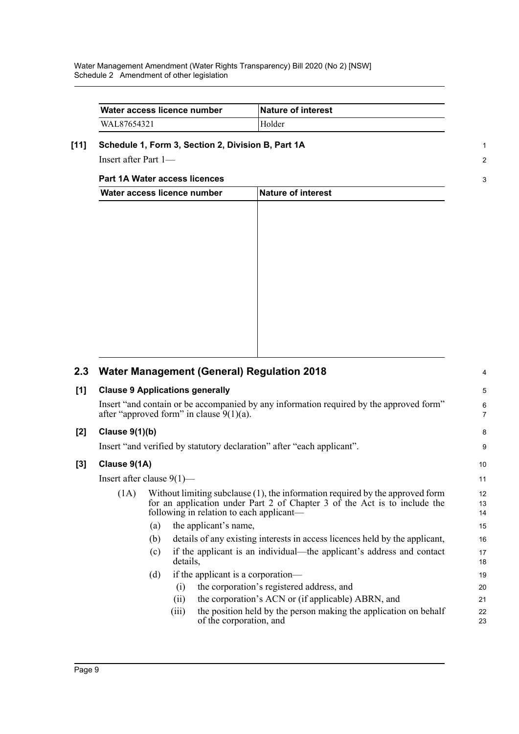| Water access licence number | <b>Nature of interest</b> |
|-----------------------------|---------------------------|
| WAL87654321                 | Holder                    |

1 2

3

### **[11] Schedule 1, Form 3, Section 2, Division B, Part 1A**

Insert after Part 1—

### **Part 1A Water access licences**

| Water access licence number | Nature of interest |  |
|-----------------------------|--------------------|--|
|                             |                    |  |
|                             |                    |  |
|                             |                    |  |
|                             |                    |  |
|                             |                    |  |
|                             |                    |  |
|                             |                    |  |
|                             |                    |  |
|                             |                    |  |
|                             |                    |  |
|                             |                    |  |

| 2.3 | <b>Water Management (General) Regulation 2018</b>                                                                                      |                                                                                                                                                                                                           |          |                                                                                             |          |  |  |
|-----|----------------------------------------------------------------------------------------------------------------------------------------|-----------------------------------------------------------------------------------------------------------------------------------------------------------------------------------------------------------|----------|---------------------------------------------------------------------------------------------|----------|--|--|
| [1] | <b>Clause 9 Applications generally</b>                                                                                                 |                                                                                                                                                                                                           |          |                                                                                             |          |  |  |
|     | Insert "and contain or be accompanied by any information required by the approved form"<br>after "approved form" in clause $9(1)(a)$ . |                                                                                                                                                                                                           |          |                                                                                             |          |  |  |
| [2] | Clause 9(1)(b)                                                                                                                         |                                                                                                                                                                                                           |          |                                                                                             |          |  |  |
|     | Insert "and verified by statutory declaration" after "each applicant".                                                                 |                                                                                                                                                                                                           |          |                                                                                             |          |  |  |
| [3] | Clause 9(1A)                                                                                                                           |                                                                                                                                                                                                           |          |                                                                                             |          |  |  |
|     | Insert after clause $9(1)$ —                                                                                                           |                                                                                                                                                                                                           |          |                                                                                             |          |  |  |
|     | (1A)                                                                                                                                   | Without limiting subclause $(1)$ , the information required by the approved form<br>for an application under Part 2 of Chapter 3 of the Act is to include the<br>following in relation to each applicant— |          |                                                                                             |          |  |  |
|     |                                                                                                                                        | (a)                                                                                                                                                                                                       |          | the applicant's name,                                                                       | 15       |  |  |
|     |                                                                                                                                        | (b)                                                                                                                                                                                                       |          | details of any existing interests in access licences held by the applicant,                 | 16       |  |  |
|     |                                                                                                                                        | (c)                                                                                                                                                                                                       | details, | if the applicant is an individual—the applicant's address and contact                       | 17<br>18 |  |  |
|     |                                                                                                                                        | (d)                                                                                                                                                                                                       |          | if the applicant is a corporation—                                                          | 19       |  |  |
|     |                                                                                                                                        |                                                                                                                                                                                                           | (i)      | the corporation's registered address, and                                                   | 20       |  |  |
|     |                                                                                                                                        |                                                                                                                                                                                                           | (11)     | the corporation's ACN or (if applicable) ABRN, and                                          | 21       |  |  |
|     |                                                                                                                                        |                                                                                                                                                                                                           | (iii)    | the position held by the person making the application on behalf<br>of the corporation, and | 22<br>23 |  |  |